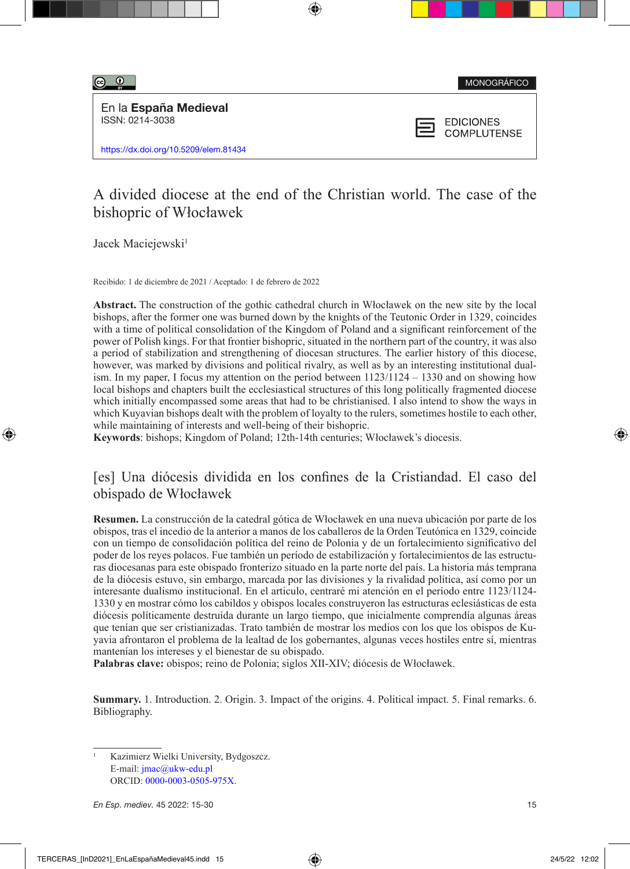$\circ$   $\circ$ 

MONOGRÁFICO

En la España Medieval ISSN: 0214-3038

https://dx.doi.org/10.5209/elem.81434



**EDICIONES COMPLUTENSE** 

# A divided diocese at the end of the Christian world. The case of the bishopric of Włocławek

Jacek Maciejewski<sup>1</sup>

Recibido: 1 de diciembre de 2021 / Aceptado: 1 de febrero de 2022

**Abstract.** The construction of the gothic cathedral church in Włocławek on the new site by the local bishops, after the former one was burned down by the knights of the Teutonic Order in 1329, coincides with a time of political consolidation of the Kingdom of Poland and a significant reinforcement of the power of Polish kings. For that frontier bishopric, situated in the northern part of the country, it was also a period of stabilization and strengthening of diocesan structures. The earlier history of this diocese, however, was marked by divisions and political rivalry, as well as by an interesting institutional dualism. In my paper, I focus my attention on the period between  $1123/1124 - 1330$  and on showing how local bishops and chapters built the ecclesiastical structures of this long politically fragmented diocese which initially encompassed some areas that had to be christianised. I also intend to show the ways in which Kuyavian bishops dealt with the problem of loyalty to the rulers, sometimes hostile to each other, while maintaining of interests and well-being of their bishopric.

**Keywords**: bishops; Kingdom of Poland; 12th-14th centuries; Włocławek's diocesis.

## [es] Una diócesis dividida en los confines de la Cristiandad. El caso del obispado de Włocławek

**Resumen.** La construcción de la catedral gótica de Włocławek en una nueva ubicación por parte de los obispos, tras el incedio de la anterior a manos de los caballeros de la Orden Teutónica en 1329, coincide con un tiempo de consolidación política del reino de Polonia y de un fortalecimiento significativo del poder de los reyes polacos. Fue también un período de estabilización y fortalecimientos de las estructuras diocesanas para este obispado fronterizo situado en la parte norte del país. La historia más temprana de la diócesis estuvo, sin embargo, marcada por las divisiones y la rivalidad política, así como por un interesante dualismo institucional. En el articulo, centraré mi atención en el período entre 1123/1124- 1330 y en mostrar cómo los cabildos y obispos locales construyeron las estructuras eclesiásticas de esta diócesis políticamente destruída durante un largo tiempo, que inicialmente comprendía algunas áreas que tenían que ser cristianizadas. Trato también de mostrar los medios con los que los obispos de Kuyavia afrontaron el problema de la lealtad de los gobernantes, algunas veces hostiles entre sí, mientras mantenían los intereses y el bienestar de su obispado.

**Palabras clave:** obispos; reino de Polonia; siglos XII-XIV; diócesis de Włocławek.

**Summary.** 1. Introduction. 2. Origin. 3. Impact of the origins. 4. Political impact. 5. Final remarks. 6. Bibliography.

Kazimierz Wielki University, Bydgoszcz. E-mail: [jmac@ukw-edu.pl](mailto:jmac@ukw-edu.pl) ORCID: [0000-0003-0505-975X](http://orcid.org/0000-0003-0505-975X).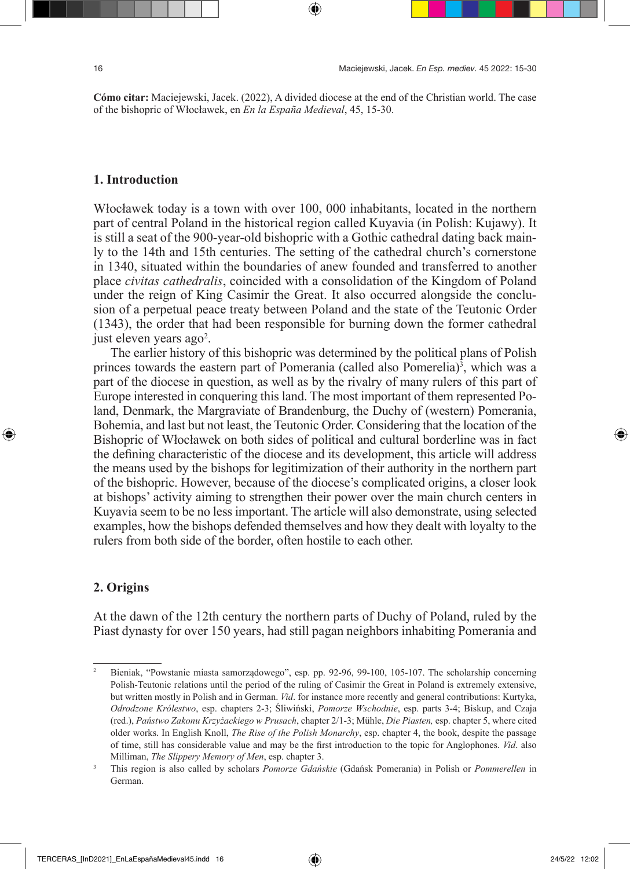**Cómo citar:** Maciejewski, Jacek. (2022), A divided diocese at the end of the Christian world. The case of the bishopric of Włocławek, en *En la España Medieval*, 45, 15-30.

#### **1. Introduction**

Włocławek today is a town with over 100, 000 inhabitants, located in the northern part of central Poland in the historical region called Kuyavia (in Polish: Kujawy). It is still a seat of the 900-year-old bishopric with a Gothic cathedral dating back mainly to the 14th and 15th centuries. The setting of the cathedral church's cornerstone in 1340, situated within the boundaries of anew founded and transferred to another place *civitas cathedralis*, coincided with a consolidation of the Kingdom of Poland under the reign of King Casimir the Great. It also occurred alongside the conclusion of a perpetual peace treaty between Poland and the state of the Teutonic Order (1343), the order that had been responsible for burning down the former cathedral just eleven years ago<sup>2</sup>.

The earlier history of this bishopric was determined by the political plans of Polish princes towards the eastern part of Pomerania (called also Pomerelia)<sup>3</sup>, which was a part of the diocese in question, as well as by the rivalry of many rulers of this part of Europe interested in conquering this land. The most important of them represented Poland, Denmark, the Margraviate of Brandenburg, the Duchy of (western) Pomerania, Bohemia, and last but not least, the Teutonic Order. Considering that the location of the Bishopric of Włocławek on both sides of political and cultural borderline was in fact the defining characteristic of the diocese and its development, this article will address the means used by the bishops for legitimization of their authority in the northern part of the bishopric. However, because of the diocese's complicated origins, a closer look at bishops' activity aiming to strengthen their power over the main church centers in Kuyavia seem to be no less important. The article will also demonstrate, using selected examples, how the bishops defended themselves and how they dealt with loyalty to the rulers from both side of the border, often hostile to each other.

### **2. Origins**

At the dawn of the 12th century the northern parts of Duchy of Poland, ruled by the Piast dynasty for over 150 years, had still pagan neighbors inhabiting Pomerania and

<sup>&</sup>lt;sup>2</sup> Bieniak, "Powstanie miasta samorządowego", esp. pp. 92-96, 99-100, 105-107. The scholarship concerning Polish-Teutonic relations until the period of the ruling of Casimir the Great in Poland is extremely extensive, but written mostly in Polish and in German. *Vid*. for instance more recently and general contributions: Kurtyka, *Odrodzone Królestwo*, esp. chapters 2-3; Śliwiński, *Pomorze Wschodnie*, esp. parts 3-4; Biskup, and Czaja (red.), *Państwo Zakonu Krzyżackiego w Prusach*, chapter 2/1-3; Mühle, *Die Piasten,* esp. chapter 5, where cited older works. In English Knoll, *The Rise of the Polish Monarchy*, esp. chapter 4, the book, despite the passage of time, still has considerable value and may be the first introduction to the topic for Anglophones. *Vid*. also Milliman, *The Slippery Memory of Men*, esp. chapter 3.

<sup>3</sup> This region is also called by scholars *Pomorze Gdańskie* (Gdańsk Pomerania) in Polish or *Pommerellen* in German.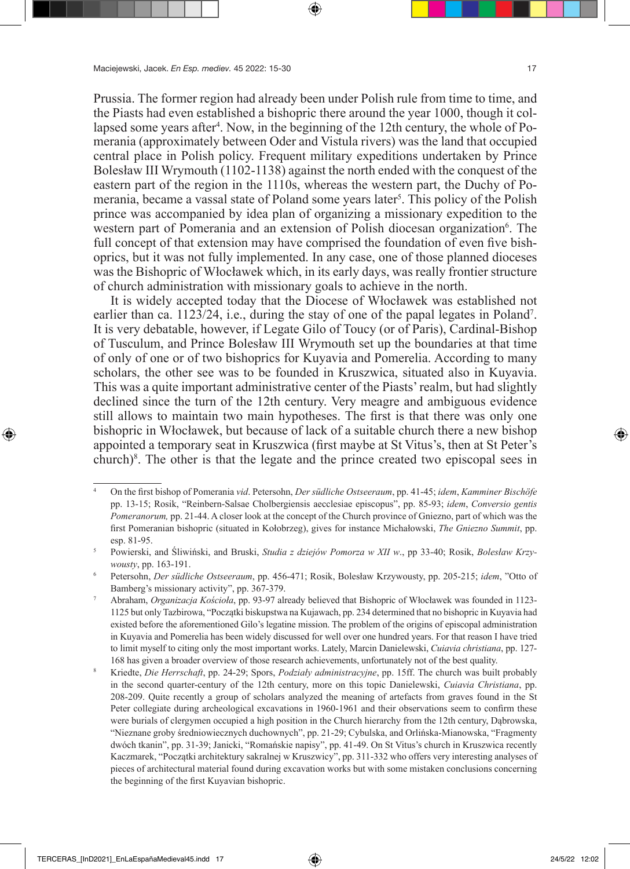Prussia. The former region had already been under Polish rule from time to time, and the Piasts had even established a bishopric there around the year 1000, though it collapsed some years after<sup>4</sup>. Now, in the beginning of the 12th century, the whole of Pomerania (approximately between Oder and Vistula rivers) was the land that occupied central place in Polish policy. Frequent military expeditions undertaken by Prince Bolesław III Wrymouth (1102-1138) against the north ended with the conquest of the eastern part of the region in the 1110s, whereas the western part, the Duchy of Pomerania, became a vassal state of Poland some years later<sup>5</sup>. This policy of the Polish prince was accompanied by idea plan of organizing a missionary expedition to the western part of Pomerania and an extension of Polish diocesan organization<sup>6</sup>. The full concept of that extension may have comprised the foundation of even five bishoprics, but it was not fully implemented. In any case, one of those planned dioceses was the Bishopric of Włocławek which, in its early days, was really frontier structure of church administration with missionary goals to achieve in the north.

It is widely accepted today that the Diocese of Włocławek was established not earlier than ca. 1123/24, i.e., during the stay of one of the papal legates in Poland<sup>7</sup>. It is very debatable, however, if Legate Gilo of Toucy (or of Paris), Cardinal-Bishop of Tusculum, and Prince Bolesław III Wrymouth set up the boundaries at that time of only of one or of two bishoprics for Kuyavia and Pomerelia. According to many scholars, the other see was to be founded in Kruszwica, situated also in Kuyavia. This was a quite important administrative center of the Piasts' realm, but had slightly declined since the turn of the 12th century. Very meagre and ambiguous evidence still allows to maintain two main hypotheses. The first is that there was only one bishopric in Włocławek, but because of lack of a suitable church there a new bishop appointed a temporary seat in Kruszwica (first maybe at St Vitus's, then at St Peter's church)8 . The other is that the legate and the prince created two episcopal sees in

<sup>4</sup> On the first bishop of Pomerania *vid*. Petersohn, *Der südliche Ostseeraum*, pp. 41-45; *idem*, *Kamminer Bischöfe* pp. 13-15; Rosik, "Reinbern-Salsae Cholbergiensis aecclesiae episcopus", pp. 85-93; *idem*, *Conversio gentis Pomeranorum,* pp. 21-44. A closer look at the concept of the Church province of Gniezno, part of which was the first Pomeranian bishopric (situated in Kołobrzeg), gives for instance Michałowski, *The Gniezno Summit*, pp. esp. 81-95. 5 Powierski, and Śliwiński, and Bruski, *Studia z dziejów Pomorza w XII w*., pp 33-40; Rosik, *Bolesław Krzy-*

*wousty*, pp. 163-191.

<sup>6</sup> Petersohn, *Der südliche Ostseeraum*, pp. 456-471; Rosik, Bolesław Krzywousty, pp. 205-215; *idem*, "Otto of Bamberg's missionary activity", pp. 367-379.

<sup>7</sup> Abraham, *Organizacja Kościoła*, pp. 93-97 already believed that Bishopric of Włocławek was founded in 1123- 1125 but only Tazbirowa, "Początki biskupstwa na Kujawach, pp. 234 determined that no bishopric in Kuyavia had existed before the aforementioned Gilo's legatine mission. The problem of the origins of episcopal administration in Kuyavia and Pomerelia has been widely discussed for well over one hundred years. For that reason I have tried to limit myself to citing only the most important works. Lately, Marcin Danielewski, *Cuiavia christiana*, pp. 127- 168 has given a broader overview of those research achievements, unfortunately not of the best quality.

<sup>8</sup> Kriedte, *Die Herrschaft*, pp. 24-29; Spors, *Podziały administracyjne*, pp. 15ff. The church was built probably in the second quarter-century of the 12th century, more on this topic Danielewski, *Cuiavia Christiana*, pp. 208-209. Quite recently a group of scholars analyzed the meaning of artefacts from graves found in the St Peter collegiate during archeological excavations in 1960-1961 and their observations seem to confirm these were burials of clergymen occupied a high position in the Church hierarchy from the 12th century, Dąbrowska, "Nieznane groby średniowiecznych duchownych", pp. 21-29; Cybulska, and Orlińska-Mianowska, "Fragmenty dwóch tkanin", pp. 31-39; Janicki, "Romańskie napisy", pp. 41-49. On St Vitus's church in Kruszwica recently Kaczmarek, "Początki architektury sakralnej w Kruszwicy", pp. 311-332 who offers very interesting analyses of pieces of architectural material found during excavation works but with some mistaken conclusions concerning the beginning of the first Kuyavian bishopric.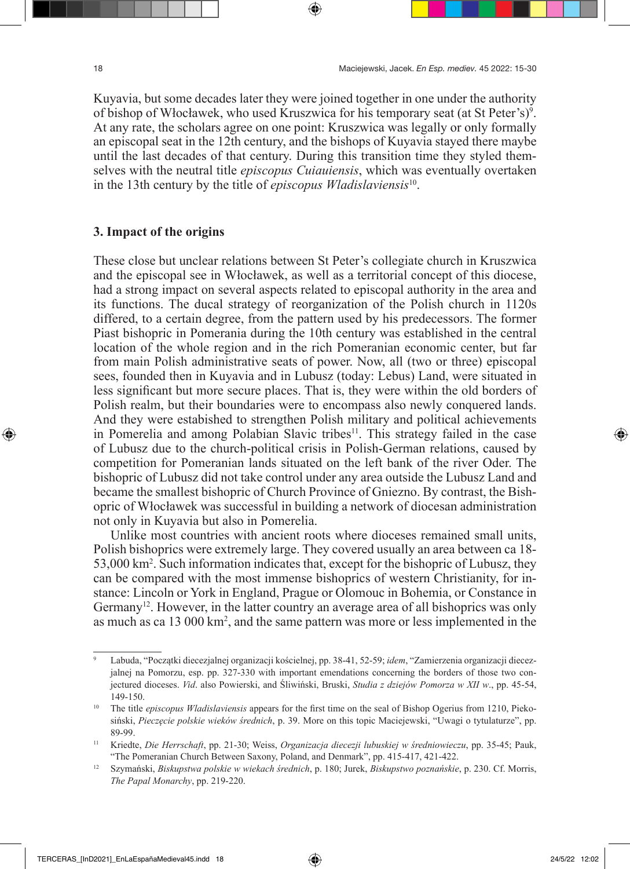Kuyavia, but some decades later they were joined together in one under the authority of bishop of Włocławek, who used Kruszwica for his temporary seat (at St Peter's)<sup>9</sup>. At any rate, the scholars agree on one point: Kruszwica was legally or only formally an episcopal seat in the 12th century, and the bishops of Kuyavia stayed there maybe until the last decades of that century. During this transition time they styled themselves with the neutral title *episcopus Cuiauiensis*, which was eventually overtaken in the 13th century by the title of *episcopus Wladislaviensis*10.

#### **3. Impact of the origins**

These close but unclear relations between St Peter's collegiate church in Kruszwica and the episcopal see in Włocławek, as well as a territorial concept of this diocese, had a strong impact on several aspects related to episcopal authority in the area and its functions. The ducal strategy of reorganization of the Polish church in 1120s differed, to a certain degree, from the pattern used by his predecessors. The former Piast bishopric in Pomerania during the 10th century was established in the central location of the whole region and in the rich Pomeranian economic center, but far from main Polish administrative seats of power. Now, all (two or three) episcopal sees, founded then in Kuyavia and in Lubusz (today: Lebus) Land, were situated in less significant but more secure places. That is, they were within the old borders of Polish realm, but their boundaries were to encompass also newly conquered lands. And they were estabished to strengthen Polish military and political achievements in Pomerelia and among Polabian Slavic tribes<sup>11</sup>. This strategy failed in the case of Lubusz due to the church-political crisis in Polish-German relations, caused by competition for Pomeranian lands situated on the left bank of the river Oder. The bishopric of Lubusz did not take control under any area outside the Lubusz Land and became the smallest bishopric of Church Province of Gniezno. By contrast, the Bishopric of Włocławek was successful in building a network of diocesan administration not only in Kuyavia but also in Pomerelia.

Unlike most countries with ancient roots where dioceses remained small units, Polish bishoprics were extremely large. They covered usually an area between ca 18- 53,000 km2 . Such information indicates that, except for the bishopric of Lubusz, they can be compared with the most immense bishoprics of western Christianity, for instance: Lincoln or York in England, Prague or Olomouc in Bohemia, or Constance in Germany<sup>12</sup>. However, in the latter country an average area of all bishoprics was only as much as ca 13 000 km2 , and the same pattern was more or less implemented in the

<sup>9</sup> Labuda, "Początki diecezjalnej organizacji kościelnej, pp. 38-41, 52-59; *idem*, "Zamierzenia organizacji diecezjalnej na Pomorzu, esp. pp. 327-330 with important emendations concerning the borders of those two conjectured dioceses. *Vid*. also Powierski, and Śliwiński, Bruski, *Studia z dziejów Pomorza w XII w*., pp. 45-54, 149-150.

<sup>&</sup>lt;sup>10</sup> The title *episcopus Wladislaviensis* appears for the first time on the seal of Bishop Ogerius from 1210, Piekosiński, *Pieczęcie polskie wieków średnich*, p. 39. More on this topic Maciejewski, "Uwagi o tytulaturze", pp. 89-99.

<sup>11</sup> Kriedte, *Die Herrschaft*, pp. 21-30; Weiss, *Organizacja diecezji lubuskiej w średniowieczu*, pp. 35-45; Pauk, "The Pomeranian Church Between Saxony, Poland, and Denmark", pp. 415-417, 421-422.

<sup>12</sup> Szymański, *Biskupstwa polskie w wiekach średnich*, p. 180; Jurek, *Biskupstwo poznańskie*, p. 230. Cf. Morris, *The Papal Monarchy*, pp. 219-220.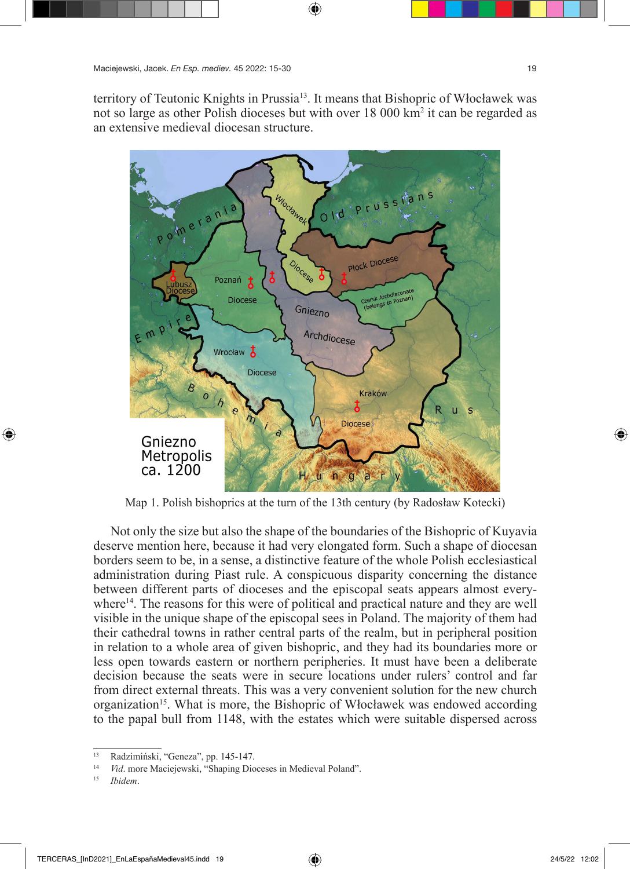territory of Teutonic Knights in Prussia<sup>13</sup>. It means that Bishopric of Włocławek was not so large as other Polish dioceses but with over 18 000 km<sup>2</sup> it can be regarded as an extensive medieval diocesan structure.



Map 1. Polish bishoprics at the turn of the 13th century (by Radosław Kotecki)

Not only the size but also the shape of the boundaries of the Bishopric of Kuyavia deserve mention here, because it had very elongated form. Such a shape of diocesan borders seem to be, in a sense, a distinctive feature of the whole Polish ecclesiastical administration during Piast rule. A conspicuous disparity concerning the distance between different parts of dioceses and the episcopal seats appears almost everywhere<sup>14</sup>. The reasons for this were of political and practical nature and they are well visible in the unique shape of the episcopal sees in Poland. The majority of them had their cathedral towns in rather central parts of the realm, but in peripheral position in relation to a whole area of given bishopric, and they had its boundaries more or less open towards eastern or northern peripheries. It must have been a deliberate decision because the seats were in secure locations under rulers' control and far from direct external threats. This was a very convenient solution for the new church organization<sup>15</sup>. What is more, the Bishopric of Włocławek was endowed according to the papal bull from 1148, with the estates which were suitable dispersed across

<sup>13</sup> Radzimiński, "Geneza", pp. 145-147.

<sup>14</sup> *Vid*. more Maciejewski, "Shaping Dioceses in Medieval Poland". 15 *Ibidem*.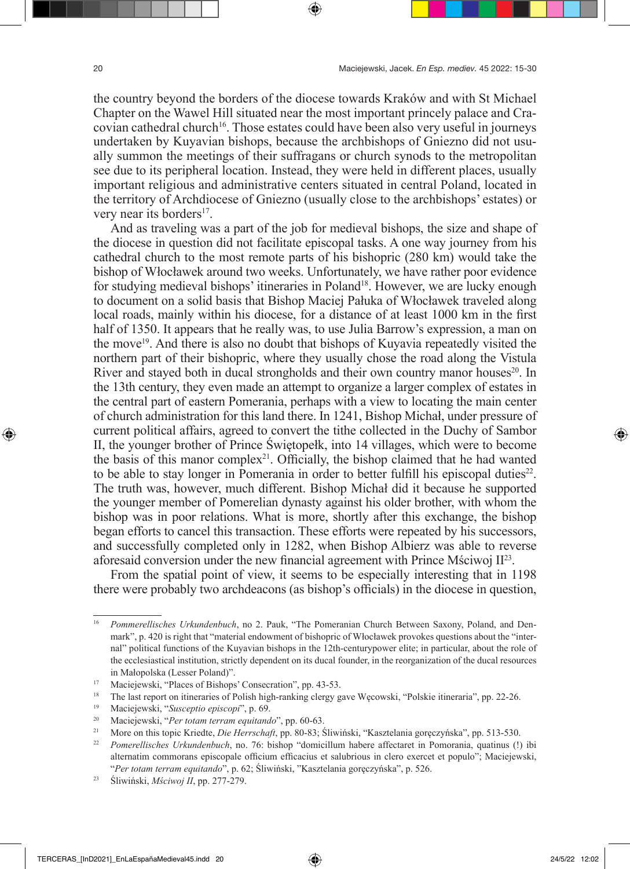the country beyond the borders of the diocese towards Kraków and with St Michael Chapter on the Wawel Hill situated near the most important princely palace and Cracovian cathedral church<sup>16</sup>. Those estates could have been also very useful in journeys undertaken by Kuyavian bishops, because the archbishops of Gniezno did not usually summon the meetings of their suffragans or church synods to the metropolitan see due to its peripheral location. Instead, they were held in different places, usually important religious and administrative centers situated in central Poland, located in the territory of Archdiocese of Gniezno (usually close to the archbishops' estates) or very near its borders $17$ .

And as traveling was a part of the job for medieval bishops, the size and shape of the diocese in question did not facilitate episcopal tasks. A one way journey from his cathedral church to the most remote parts of his bishopric (280 km) would take the bishop of Włocławek around two weeks. Unfortunately, we have rather poor evidence for studying medieval bishops' itineraries in Poland<sup>18</sup>. However, we are lucky enough to document on a solid basis that Bishop Maciej Pałuka of Włocławek traveled along local roads, mainly within his diocese, for a distance of at least 1000 km in the first half of 1350. It appears that he really was, to use Julia Barrow's expression, a man on the move<sup>19</sup>. And there is also no doubt that bishops of Kuyavia repeatedly visited the northern part of their bishopric, where they usually chose the road along the Vistula River and stayed both in ducal strongholds and their own country manor houses<sup>20</sup>. In the 13th century, they even made an attempt to organize a larger complex of estates in the central part of eastern Pomerania, perhaps with a view to locating the main center of church administration for this land there. In 1241, Bishop Michał, under pressure of current political affairs, agreed to convert the tithe collected in the Duchy of Sambor II, the younger brother of Prince Świętopełk, into 14 villages, which were to become the basis of this manor complex<sup>21</sup>. Officially, the bishop claimed that he had wanted to be able to stay longer in Pomerania in order to better fulfill his episcopal duties<sup>22</sup>. The truth was, however, much different. Bishop Michał did it because he supported the younger member of Pomerelian dynasty against his older brother, with whom the bishop was in poor relations. What is more, shortly after this exchange, the bishop began efforts to cancel this transaction. These efforts were repeated by his successors, and successfully completed only in 1282, when Bishop Albierz was able to reverse aforesaid conversion under the new financial agreement with Prince Mściwoj  $II^{23}$ .

From the spatial point of view, it seems to be especially interesting that in 1198 there were probably two archdeacons (as bishop's officials) in the diocese in question,

<sup>16</sup> *Pommerellisches Urkundenbuch*, no 2. Pauk, "The Pomeranian Church Between Saxony, Poland, and Denmark", p. 420 is right that "material endowment of bishopric of Włocławek provokes questions about the "internal" political functions of the Kuyavian bishops in the 12th-centurypower elite; in particular, about the role of the ecclesiastical institution, strictly dependent on its ducal founder, in the reorganization of the ducal resources in Małopolska (Lesser Poland)".

<sup>17</sup> Maciejewski, "Places of Bishops' Consecration", pp. 43-53.

<sup>&</sup>lt;sup>18</sup> The last report on itineraries of Polish high-ranking clergy gave Wecowski, "Polskie itineraria", pp. 22-26.

<sup>19</sup> Maciejewski, "*Susceptio episcopi*", p. 69.

<sup>20</sup> Maciejewski, "*Per totam terram equitando*", pp. 60-63. 21 More on this topic Kriedte, *Die Herrschaft*, pp. 80-83; Śliwiński, "Kasztelania goręczyńska", pp. 513-530.

<sup>22</sup> *Pomerellisches Urkundenbuch*, no. 76: bishop "domicillum habere affectaret in Pomorania, quatinus (!) ibi alternatim commorans episcopale officium efficacius et salubrious in clero exercet et populo"; Maciejewski, "*Per totam terram equitando*", p. 62; Śliwiński, "Kasztelania goręczyńska", p. 526.

<sup>23</sup> Śliwiński, *Mściwoj II*, pp. 277-279.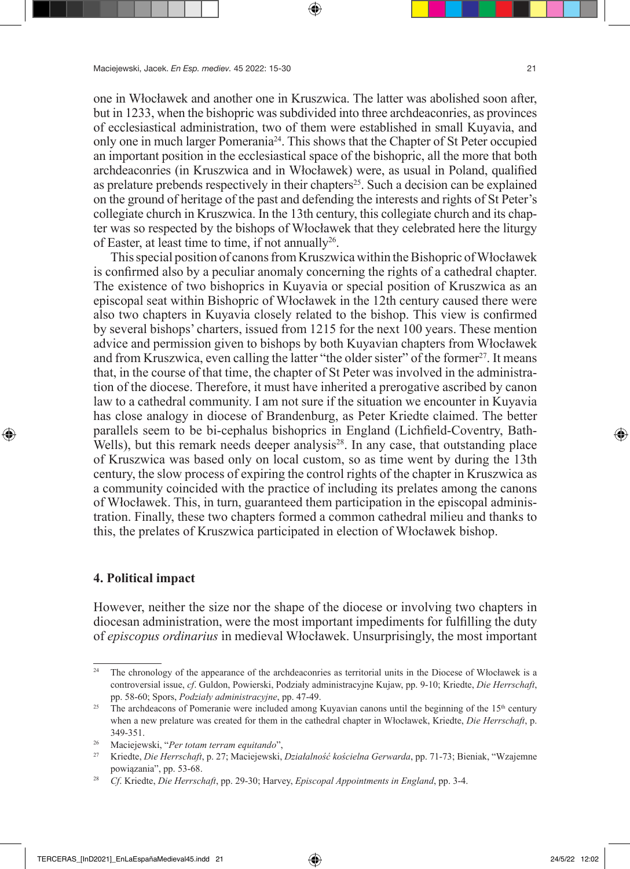one in Włocławek and another one in Kruszwica. The latter was abolished soon after, but in 1233, when the bishopric was subdivided into three archdeaconries, as provinces of ecclesiastical administration, two of them were established in small Kuyavia, and only one in much larger Pomerania<sup>24</sup>. This shows that the Chapter of St Peter occupied an important position in the ecclesiastical space of the bishopric, all the more that both archdeaconries (in Kruszwica and in Włocławek) were, as usual in Poland, qualified as prelature prebends respectively in their chapters<sup>25</sup>. Such a decision can be explained on the ground of heritage of the past and defending the interests and rights of St Peter's collegiate church in Kruszwica. In the 13th century, this collegiate church and its chapter was so respected by the bishops of Włocławek that they celebrated here the liturgy of Easter, at least time to time, if not annually  $26$ .

This special position of canons from Kruszwica within the Bishopric of Włocławek is confirmed also by a peculiar anomaly concerning the rights of a cathedral chapter. The existence of two bishoprics in Kuyavia or special position of Kruszwica as an episcopal seat within Bishopric of Włocławek in the 12th century caused there were also two chapters in Kuyavia closely related to the bishop. This view is confirmed by several bishops' charters, issued from 1215 for the next 100 years. These mention advice and permission given to bishops by both Kuyavian chapters from Włocławek and from Kruszwica, even calling the latter "the older sister" of the former $^{27}$ . It means that, in the course of that time, the chapter of St Peter was involved in the administration of the diocese. Therefore, it must have inherited a prerogative ascribed by canon law to a cathedral community. I am not sure if the situation we encounter in Kuyavia has close analogy in diocese of Brandenburg, as Peter Kriedte claimed. The better parallels seem to be bi-cephalus bishoprics in England (Lichfield-Coventry, Bath-Wells), but this remark needs deeper analysis $28$ . In any case, that outstanding place of Kruszwica was based only on local custom, so as time went by during the 13th century, the slow process of expiring the control rights of the chapter in Kruszwica as a community coincided with the practice of including its prelates among the canons of Włocławek. This, in turn, guaranteed them participation in the episcopal administration. Finally, these two chapters formed a common cathedral milieu and thanks to this, the prelates of Kruszwica participated in election of Włocławek bishop.

#### **4. Political impact**

However, neither the size nor the shape of the diocese or involving two chapters in diocesan administration, were the most important impediments for fulfilling the duty of *episcopus ordinarius* in medieval Włocławek. Unsurprisingly, the most important

<sup>&</sup>lt;sup>24</sup> The chronology of the appearance of the archdeaconries as territorial units in the Diocese of Włocławek is a controversial issue, *cf*. Guldon, Powierski, Podziały administracyjne Kujaw, pp. 9-10; Kriedte, *Die Herrschaft*, pp. 58-60; Spors, *Podziały administracyjne*, pp. 47-49.

<sup>&</sup>lt;sup>25</sup> The archdeacons of Pomeranie were included among Kuyavian canons until the beginning of the  $15<sup>th</sup>$  century when a new prelature was created for them in the cathedral chapter in Włocławek, Kriedte, *Die Herrschaft*, p. 349-351.

<sup>26</sup> Maciejewski, "*Per totam terram equitando*", 27 Kriedte, *Die Herrschaft*, p. 27; Maciejewski, *Działalność kościelna Gerwarda*, pp. 71-73; Bieniak, "Wzajemne powiązania", pp. 53-68.

<sup>28</sup> *Cf*. Kriedte, *Die Herrschaft*, pp. 29-30; Harvey, *Episcopal Appointments in England*, pp. 3-4.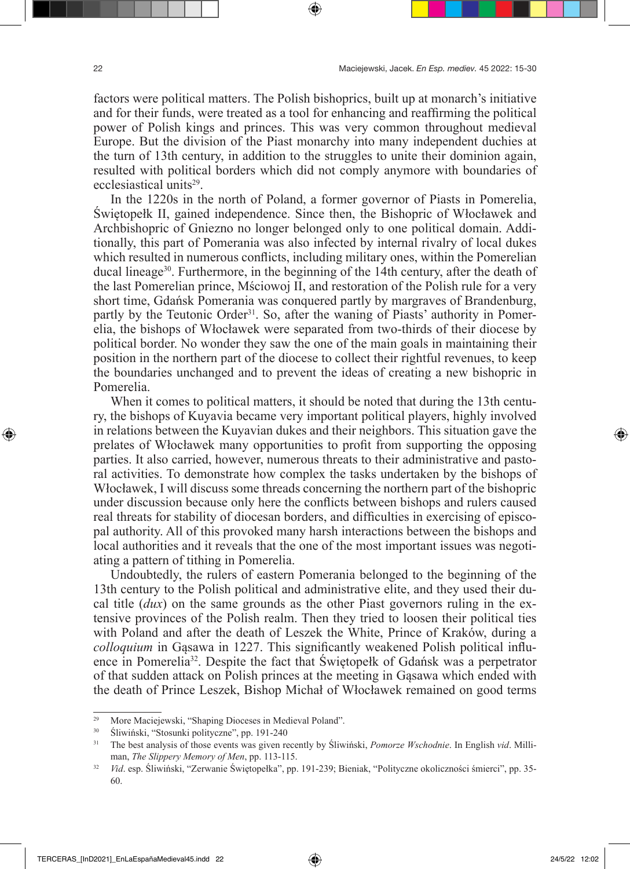factors were political matters. The Polish bishoprics, built up at monarch's initiative and for their funds, were treated as a tool for enhancing and reaffirming the political power of Polish kings and princes. This was very common throughout medieval Europe. But the division of the Piast monarchy into many independent duchies at the turn of 13th century, in addition to the struggles to unite their dominion again, resulted with political borders which did not comply anymore with boundaries of ecclesiastical units<sup>29</sup>.

In the 1220s in the north of Poland, a former governor of Piasts in Pomerelia, Świętopełk II, gained independence. Since then, the Bishopric of Włocławek and Archbishopric of Gniezno no longer belonged only to one political domain. Additionally, this part of Pomerania was also infected by internal rivalry of local dukes which resulted in numerous conflicts, including military ones, within the Pomerelian ducal lineage<sup>30</sup>. Furthermore, in the beginning of the 14th century, after the death of the last Pomerelian prince, Mściowoj II, and restoration of the Polish rule for a very short time, Gdańsk Pomerania was conquered partly by margraves of Brandenburg, partly by the Teutonic Order<sup>31</sup>. So, after the waning of Piasts' authority in Pomerelia, the bishops of Włocławek were separated from two-thirds of their diocese by political border. No wonder they saw the one of the main goals in maintaining their position in the northern part of the diocese to collect their rightful revenues, to keep the boundaries unchanged and to prevent the ideas of creating a new bishopric in Pomerelia.

When it comes to political matters, it should be noted that during the 13th century, the bishops of Kuyavia became very important political players, highly involved in relations between the Kuyavian dukes and their neighbors. This situation gave the prelates of Włocławek many opportunities to profit from supporting the opposing parties. It also carried, however, numerous threats to their administrative and pastoral activities. To demonstrate how complex the tasks undertaken by the bishops of Włocławek, I will discuss some threads concerning the northern part of the bishopric under discussion because only here the conflicts between bishops and rulers caused real threats for stability of diocesan borders, and difficulties in exercising of episcopal authority. All of this provoked many harsh interactions between the bishops and local authorities and it reveals that the one of the most important issues was negotiating a pattern of tithing in Pomerelia.

Undoubtedly, the rulers of eastern Pomerania belonged to the beginning of the 13th century to the Polish political and administrative elite, and they used their ducal title (*dux*) on the same grounds as the other Piast governors ruling in the extensive provinces of the Polish realm. Then they tried to loosen their political ties with Poland and after the death of Leszek the White, Prince of Kraków, during a *colloquium* in Gąsawa in 1227. This significantly weakened Polish political influence in Pomerelia32. Despite the fact that Świętopełk of Gdańsk was a perpetrator of that sudden attack on Polish princes at the meeting in Gąsawa which ended with the death of Prince Leszek, Bishop Michał of Włocławek remained on good terms

<sup>29</sup> More Maciejewski, "Shaping Dioceses in Medieval Poland".

<sup>30</sup> Śliwiński, "Stosunki polityczne", pp. 191-240

<sup>31</sup> The best analysis of those events was given recently by Śliwiński, *Pomorze Wschodnie*. In English *vid*. Milliman, *The Slippery Memory of Men*, pp. 113-115.

<sup>32</sup> *Vid*. esp. Śliwiński, "Zerwanie Świętopełka", pp. 191-239; Bieniak, "Polityczne okoliczności śmierci", pp. 35- 60.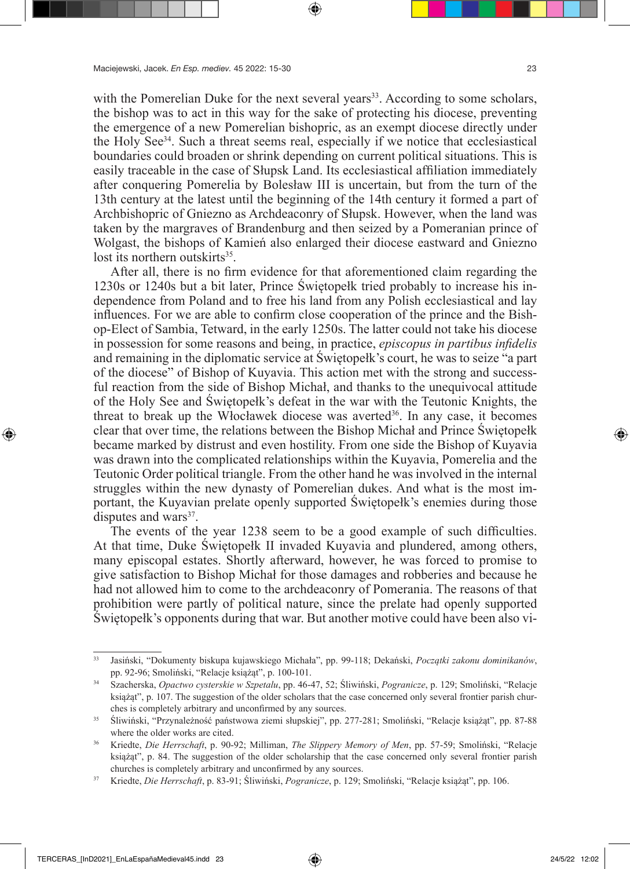with the Pomerelian Duke for the next several years $33$ . According to some scholars, the bishop was to act in this way for the sake of protecting his diocese, preventing the emergence of a new Pomerelian bishopric, as an exempt diocese directly under the Holy See34. Such a threat seems real, especially if we notice that ecclesiastical boundaries could broaden or shrink depending on current political situations. This is easily traceable in the case of Słupsk Land. Its ecclesiastical affiliation immediately after conquering Pomerelia by Bolesław III is uncertain, but from the turn of the 13th century at the latest until the beginning of the 14th century it formed a part of Archbishopric of Gniezno as Archdeaconry of Słupsk. However, when the land was taken by the margraves of Brandenburg and then seized by a Pomeranian prince of Wolgast, the bishops of Kamień also enlarged their diocese eastward and Gniezno lost its northern outskirts<sup>35</sup>.

After all, there is no firm evidence for that aforementioned claim regarding the 1230s or 1240s but a bit later, Prince Świętopełk tried probably to increase his independence from Poland and to free his land from any Polish ecclesiastical and lay influences. For we are able to confirm close cooperation of the prince and the Bishop-Elect of Sambia, Tetward, in the early 1250s. The latter could not take his diocese in possession for some reasons and being, in practice, *episcopus in partibus infidelis* and remaining in the diplomatic service at Świętopełk's court, he was to seize "a part of the diocese" of Bishop of Kuyavia. This action met with the strong and successful reaction from the side of Bishop Michał, and thanks to the unequivocal attitude of the Holy See and Świętopełk's defeat in the war with the Teutonic Knights, the threat to break up the Włocławek diocese was averted<sup>36</sup>. In any case, it becomes clear that over time, the relations between the Bishop Michał and Prince Świętopełk became marked by distrust and even hostility. From one side the Bishop of Kuyavia was drawn into the complicated relationships within the Kuyavia, Pomerelia and the Teutonic Order political triangle. From the other hand he was involved in the internal struggles within the new dynasty of Pomerelian dukes. And what is the most important, the Kuyavian prelate openly supported Świętopełk's enemies during those disputes and wars $37$ .

The events of the year 1238 seem to be a good example of such difficulties. At that time, Duke Świętopełk II invaded Kuyavia and plundered, among others, many episcopal estates. Shortly afterward, however, he was forced to promise to give satisfaction to Bishop Michał for those damages and robberies and because he had not allowed him to come to the archdeaconry of Pomerania. The reasons of that prohibition were partly of political nature, since the prelate had openly supported Świętopełk's opponents during that war. But another motive could have been also vi-

<sup>33</sup> Jasiński, "Dokumenty biskupa kujawskiego Michała", pp. 99-118; Dekański, *Początki zakonu dominikanów*, pp. 92-96; Smoliński, "Relacje książąt", p. 100-101.

<sup>34</sup> Szacherska, *Opactwo cysterskie w Szpetalu*, pp. 46-47, 52; Śliwiński, *Pogranicze*, p. 129; Smoliński, "Relacje książąt", p. 107. The suggestion of the older scholars that the case concerned only several frontier parish churches is completely arbitrary and unconfirmed by any sources.

<sup>35</sup> Śliwiński, "Przynależność państwowa ziemi słupskiej", pp. 277-281; Smoliński, "Relacje książąt", pp. 87-88 where the older works are cited.

<sup>36</sup> Kriedte, *Die Herrschaft*, p. 90-92; Milliman, *The Slippery Memory of Men*, pp. 57-59; Smoliński, "Relacje książąt", p. 84. The suggestion of the older scholarship that the case concerned only several frontier parish churches is completely arbitrary and unconfirmed by any sources.

<sup>37</sup> Kriedte, *Die Herrschaft*, p. 83-91; Śliwiński, *Pogranicze*, p. 129; Smoliński, "Relacje książąt", pp. 106.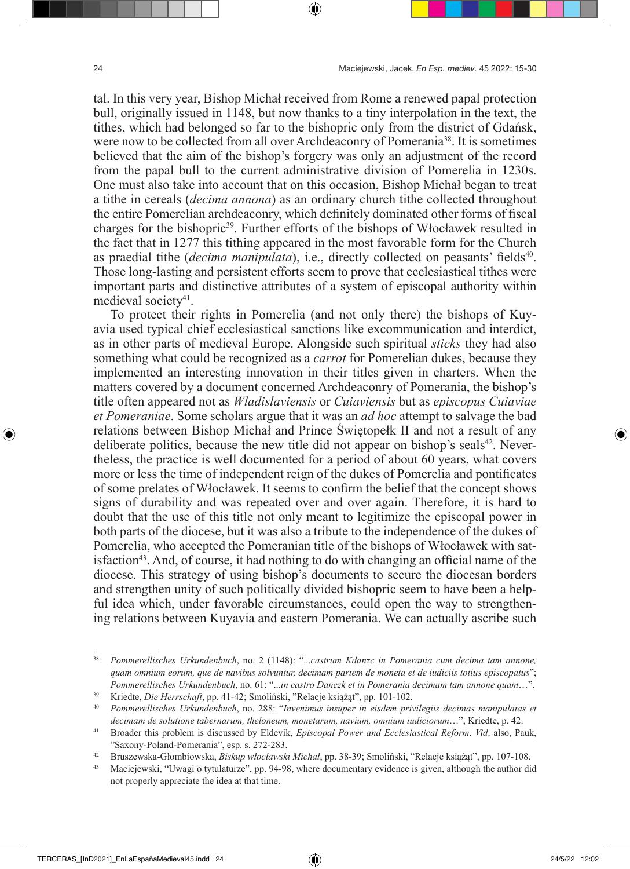tal. In this very year, Bishop Michał received from Rome a renewed papal protection bull, originally issued in 1148, but now thanks to a tiny interpolation in the text, the tithes, which had belonged so far to the bishopric only from the district of Gdańsk, were now to be collected from all over Archdeaconry of Pomerania<sup>38</sup>. It is sometimes believed that the aim of the bishop's forgery was only an adjustment of the record from the papal bull to the current administrative division of Pomerelia in 1230s. One must also take into account that on this occasion, Bishop Michał began to treat a tithe in cereals (*decima annona*) as an ordinary church tithe collected throughout the entire Pomerelian archdeaconry, which definitely dominated other forms of fiscal charges for the bishopric<sup>39</sup>. Further efforts of the bishops of Włocławek resulted in the fact that in 1277 this tithing appeared in the most favorable form for the Church as praedial tithe *(decima manipulata)*, i.e., directly collected on peasants' fields<sup>40</sup>. Those long-lasting and persistent efforts seem to prove that ecclesiastical tithes were important parts and distinctive attributes of a system of episcopal authority within medieval society<sup>41</sup>.

To protect their rights in Pomerelia (and not only there) the bishops of Kuyavia used typical chief ecclesiastical sanctions like excommunication and interdict, as in other parts of medieval Europe. Alongside such spiritual *sticks* they had also something what could be recognized as a *carrot* for Pomerelian dukes, because they implemented an interesting innovation in their titles given in charters. When the matters covered by a document concerned Archdeaconry of Pomerania, the bishop's title often appeared not as *Wladislaviensis* or *Cuiaviensis* but as *episcopus Cuiaviae et Pomeraniae*. Some scholars argue that it was an *ad hoc* attempt to salvage the bad relations between Bishop Michał and Prince Świętopełk II and not a result of any deliberate politics, because the new title did not appear on bishop's seals $42$ . Nevertheless, the practice is well documented for a period of about 60 years, what covers more or less the time of independent reign of the dukes of Pomerelia and pontificates of some prelates of Włocławek. It seems to confirm the belief that the concept shows signs of durability and was repeated over and over again. Therefore, it is hard to doubt that the use of this title not only meant to legitimize the episcopal power in both parts of the diocese, but it was also a tribute to the independence of the dukes of Pomerelia, who accepted the Pomeranian title of the bishops of Włocławek with satisfaction<sup>43</sup>. And, of course, it had nothing to do with changing an official name of the diocese. This strategy of using bishop's documents to secure the diocesan borders and strengthen unity of such politically divided bishopric seem to have been a helpful idea which, under favorable circumstances, could open the way to strengthening relations between Kuyavia and eastern Pomerania. We can actually ascribe such

<sup>38</sup> *Pommerellisches Urkundenbuch*, no. 2 (1148): "...*castrum Kdanzc in Pomerania cum decima tam annone, quam omnium eorum, que de navibus solvuntur, decimam partem de moneta et de iudiciis totius episcopatus*"; *Pommerellisches Urkundenbuch*, no. 61: "...*in castro Danczk et in Pomerania decimam tam annone quam*…".

<sup>39</sup> Kriedte, *Die Herrschaft*, pp. 41-42; Smoliński, "Relacje książąt", pp. 101-102.

<sup>40</sup> *Pommerellisches Urkundenbuch*, no. 288: "*Invenimus insuper in eisdem privilegiis decimas manipulatas et decimam de solutione tabernarum, theloneum, monetarum, navium, omnium iudiciorum*…", Kriedte, p. 42.

<sup>41</sup> Broader this problem is discussed by Eldevik, *Episcopal Power and Ecclesiastical Reform*. *Vid*. also, Pauk, "Saxony-Poland-Pomerania", esp. s. 272-283.

<sup>42</sup> Bruszewska-Głombiowska, *Biskup włocławski Michał*, pp. 38-39; Smoliński, "Relacje książąt", pp. 107-108.

<sup>&</sup>lt;sup>43</sup> Maciejewski, "Uwagi o tytulaturze", pp. 94-98, where documentary evidence is given, although the author did not properly appreciate the idea at that time.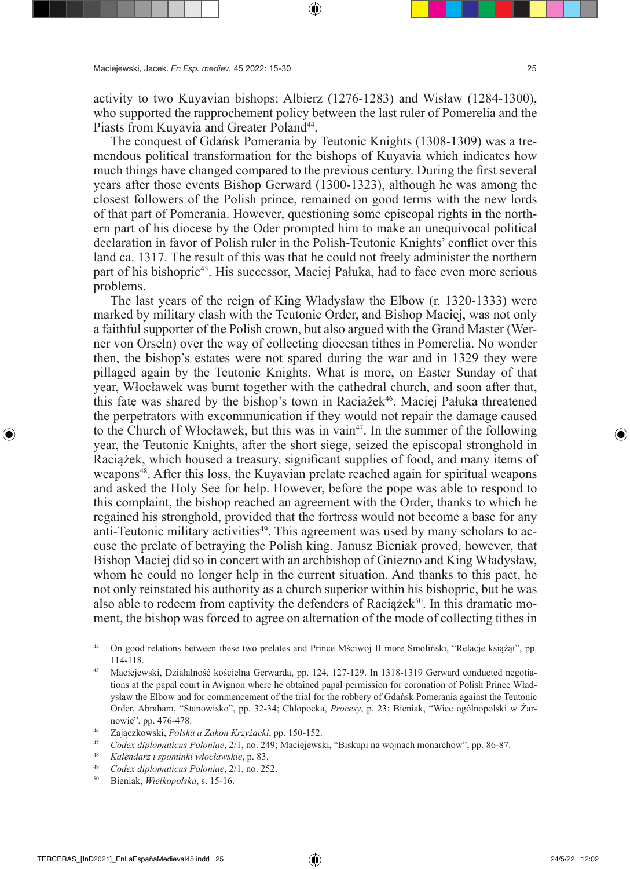activity to two Kuyavian bishops: Albierz (1276-1283) and Wisław (1284-1300), who supported the rapprochement policy between the last ruler of Pomerelia and the Piasts from Kuyavia and Greater Poland<sup>44</sup>.

The conquest of Gdańsk Pomerania by Teutonic Knights (1308-1309) was a tremendous political transformation for the bishops of Kuyavia which indicates how much things have changed compared to the previous century. During the first several years after those events Bishop Gerward (1300-1323), although he was among the closest followers of the Polish prince, remained on good terms with the new lords of that part of Pomerania. However, questioning some episcopal rights in the northern part of his diocese by the Oder prompted him to make an unequivocal political declaration in favor of Polish ruler in the Polish-Teutonic Knights' conflict over this land ca. 1317. The result of this was that he could not freely administer the northern part of his bishopric<sup>45</sup>. His successor, Maciej Pałuka, had to face even more serious problems.

The last years of the reign of King Władysław the Elbow (r. 1320-1333) were marked by military clash with the Teutonic Order, and Bishop Maciej, was not only a faithful supporter of the Polish crown, but also argued with the Grand Master (Werner von Orseln) over the way of collecting diocesan tithes in Pomerelia. No wonder then, the bishop's estates were not spared during the war and in 1329 they were pillaged again by the Teutonic Knights. What is more, on Easter Sunday of that year, Włocławek was burnt together with the cathedral church, and soon after that, this fate was shared by the bishop's town in Raciażek<sup>46</sup>. Maciej Pałuka threatened the perpetrators with excommunication if they would not repair the damage caused to the Church of Włocławek, but this was in vain<sup>47</sup>. In the summer of the following year, the Teutonic Knights, after the short siege, seized the episcopal stronghold in Raciążek, which housed a treasury, significant supplies of food, and many items of weapons<sup>48</sup>. After this loss, the Kuyavian prelate reached again for spiritual weapons and asked the Holy See for help. However, before the pope was able to respond to this complaint, the bishop reached an agreement with the Order, thanks to which he regained his stronghold, provided that the fortress would not become a base for any anti-Teutonic military activities<sup>49</sup>. This agreement was used by many scholars to accuse the prelate of betraying the Polish king. Janusz Bieniak proved, however, that Bishop Maciej did so in concert with an archbishop of Gniezno and King Władysław, whom he could no longer help in the current situation. And thanks to this pact, he not only reinstated his authority as a church superior within his bishopric, but he was also able to redeem from captivity the defenders of Raciążek<sup>50</sup>. In this dramatic moment, the bishop was forced to agree on alternation of the mode of collecting tithes in

<sup>44</sup> On good relations between these two prelates and Prince Mściwoj II more Smoliński, "Relacje książąt", pp. 114-118. 45 Maciejewski, Działalność kościelna Gerwarda, pp. 124, 127-129. In 1318-1319 Gerward conducted negotia-

tions at the papal court in Avignon where he obtained papal permission for coronation of Polish Prince Władysław the Elbow and for commencement of the trial for the robbery of Gdańsk Pomerania against the Teutonic Order, Abraham, "Stanowisko", pp. 32-34; Chłopocka, *Procesy*, p. 23; Bieniak, "Wiec ogólnopolski w Żarnowie", pp. 476-478.

<sup>46</sup> Zajączkowski, *Polska a Zakon Krzyżacki*, pp. 150-152.

<sup>47</sup> *Codex diplomaticus Poloniae*, 2/1, no. 249; Maciejewski, "Biskupi na wojnach monarchów", pp. 86-87.

<sup>48</sup> *Kalendarz i spominki włocławskie*, p. 83.

<sup>49</sup> *Codex diplomaticus Poloniae*, 2/1, no. 252.

<sup>50</sup> Bieniak, *Wielkopolska*, s. 15-16.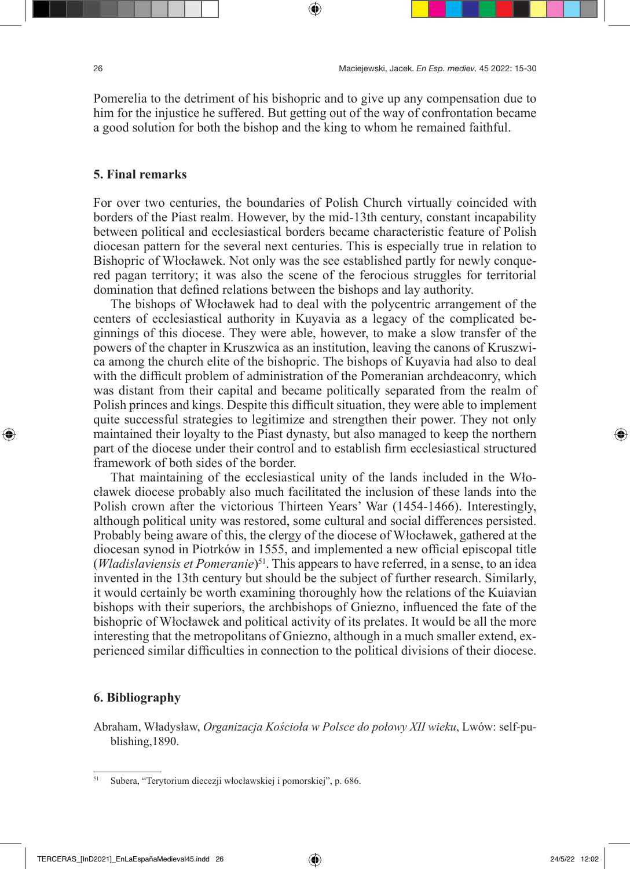Pomerelia to the detriment of his bishopric and to give up any compensation due to him for the injustice he suffered. But getting out of the way of confrontation became a good solution for both the bishop and the king to whom he remained faithful.

#### **5. Final remarks**

For over two centuries, the boundaries of Polish Church virtually coincided with borders of the Piast realm. However, by the mid-13th century, constant incapability between political and ecclesiastical borders became characteristic feature of Polish diocesan pattern for the several next centuries. This is especially true in relation to Bishopric of Włocławek. Not only was the see established partly for newly conquered pagan territory; it was also the scene of the ferocious struggles for territorial domination that defined relations between the bishops and lay authority.

The bishops of Włocławek had to deal with the polycentric arrangement of the centers of ecclesiastical authority in Kuyavia as a legacy of the complicated beginnings of this diocese. They were able, however, to make a slow transfer of the powers of the chapter in Kruszwica as an institution, leaving the canons of Kruszwica among the church elite of the bishopric. The bishops of Kuyavia had also to deal with the difficult problem of administration of the Pomeranian archdeaconry, which was distant from their capital and became politically separated from the realm of Polish princes and kings. Despite this difficult situation, they were able to implement quite successful strategies to legitimize and strengthen their power. They not only maintained their loyalty to the Piast dynasty, but also managed to keep the northern part of the diocese under their control and to establish firm ecclesiastical structured framework of both sides of the border.

That maintaining of the ecclesiastical unity of the lands included in the Włocławek diocese probably also much facilitated the inclusion of these lands into the Polish crown after the victorious Thirteen Years' War (1454-1466). Interestingly, although political unity was restored, some cultural and social differences persisted. Probably being aware of this, the clergy of the diocese of Włocławek, gathered at the diocesan synod in Piotrków in 1555, and implemented a new official episcopal title (*Wladislaviensis et Pomeranie*)<sup>51</sup>. This appears to have referred, in a sense, to an idea invented in the 13th century but should be the subject of further research. Similarly, it would certainly be worth examining thoroughly how the relations of the Kuiavian bishops with their superiors, the archbishops of Gniezno, influenced the fate of the bishopric of Włocławek and political activity of its prelates. It would be all the more interesting that the metropolitans of Gniezno, although in a much smaller extend, experienced similar difficulties in connection to the political divisions of their diocese.

#### **6. Bibliography**

Abraham, Władysław, *Organizacja Kościoła w Polsce do połowy XII wieku*, Lwów: self-publishing,1890.

<sup>51</sup> Subera, "Terytorium diecezji włocławskiej i pomorskiej", p. 686.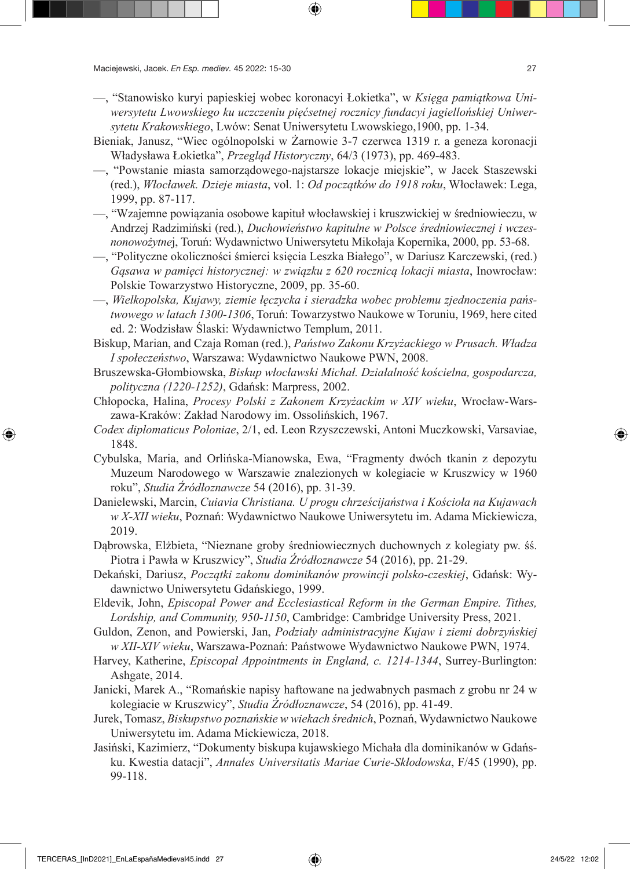- —, "Stanowisko kuryi papieskiej wobec koronacyi Łokietka", w *Księga pamiątkowa Uniwersytetu Lwowskiego ku uczczeniu pięćsetnej rocznicy fundacyi jagiellońskiej Uniwersytetu Krakowskiego*, Lwów: Senat Uniwersytetu Lwowskiego,1900, pp. 1-34.
- Bieniak, Janusz, "Wiec ogólnopolski w Żarnowie 3-7 czerwca 1319 r. a geneza koronacji Władysława Łokietka", *Przegląd Historyczny*, 64/3 (1973), pp. 469-483.
- —, "Powstanie miasta samorządowego-najstarsze lokacje miejskie", w Jacek Staszewski (red.), *Włocławek. Dzieje miasta*, vol. 1: *Od początków do 1918 roku*, Włocławek: Lega, 1999, pp. 87-117.
- —, "Wzajemne powiązania osobowe kapituł włocławskiej i kruszwickiej w średniowieczu, w Andrzej Radzimiński (red.), *Duchowieństwo kapitulne w Polsce średniowiecznej i wczesnonowożytne*j, Toruń: Wydawnictwo Uniwersytetu Mikołaja Kopernika, 2000, pp. 53-68.
- —, "Polityczne okoliczności śmierci księcia Leszka Białego", w Dariusz Karczewski, (red.) *Gąsawa w pamięci historycznej: w związku z 620 rocznicą lokacji miasta*, Inowrocław: Polskie Towarzystwo Historyczne, 2009, pp. 35-60.
- —, *Wielkopolska, Kujawy, ziemie łęczycka i sieradzka wobec problemu zjednoczenia państwowego w latach 1300-1306*, Toruń: Towarzystwo Naukowe w Toruniu, 1969, here cited ed. 2: Wodzisław Ślaski: Wydawnictwo Templum, 2011.
- Biskup, Marian, and Czaja Roman (red.), *Państwo Zakonu Krzyżackiego w Prusach. Władza I społeczeństwo*, Warszawa: Wydawnictwo Naukowe PWN, 2008.
- Bruszewska-Głombiowska, *Biskup włocławski Michał. Działalność kościelna, gospodarcza, polityczna (1220-1252)*, Gdańsk: Marpress, 2002.
- Chłopocka, Halina, *Procesy Polski z Zakonem Krzyżackim w XIV wieku*, Wrocław-Warszawa-Kraków: Zakład Narodowy im. Ossolińskich, 1967.
- *Codex diplomaticus Poloniae*, 2/1, ed. Leon Rzyszczewski, Antoni Muczkowski, Varsaviae, 1848.
- Cybulska, Maria, and Orlińska-Mianowska, Ewa, "Fragmenty dwóch tkanin z depozytu Muzeum Narodowego w Warszawie znalezionych w kolegiacie w Kruszwicy w 1960 roku", *Studia Źródłoznawcze* 54 (2016), pp. 31-39.
- Danielewski, Marcin, *Cuiavia Christiana. U progu chrześcijaństwa i Kościoła na Kujawach w X-XII wieku*, Poznań: Wydawnictwo Naukowe Uniwersytetu im. Adama Mickiewicza, 2019.
- Dąbrowska, Elżbieta, "Nieznane groby średniowiecznych duchownych z kolegiaty pw. śś. Piotra i Pawła w Kruszwicy", *Studia Źródłoznawcze* 54 (2016), pp. 21-29.
- Dekański, Dariusz, *Początki zakonu dominikanów prowincji polsko-czeskiej*, Gdańsk: Wydawnictwo Uniwersytetu Gdańskiego, 1999.
- Eldevik, John, *Episcopal Power and Ecclesiastical Reform in the German Empire. Tithes, Lordship, and Community, 950-1150*, Cambridge: Cambridge University Press, 2021.
- Guldon, Zenon, and Powierski, Jan, *Podziały administracyjne Kujaw i ziemi dobrzyńskiej w XII-XIV wieku*, Warszawa-Poznań: Państwowe Wydawnictwo Naukowe PWN, 1974.
- Harvey, Katherine, *Episcopal Appointments in England, c. 1214-1344*, Surrey-Burlington: Ashgate, 2014.
- Janicki, Marek A., "Romańskie napisy haftowane na jedwabnych pasmach z grobu nr 24 w kolegiacie w Kruszwicy", *Studia Źródłoznawcze*, 54 (2016), pp. 41-49.
- Jurek, Tomasz, *Biskupstwo poznańskie w wiekach średnich*, Poznań, Wydawnictwo Naukowe Uniwersytetu im. Adama Mickiewicza, 2018.
- Jasiński, Kazimierz, "Dokumenty biskupa kujawskiego Michała dla dominikanów w Gdańsku. Kwestia datacji", *Annales Universitatis Mariae Curie-Skłodowska*, F/45 (1990), pp. 99-118.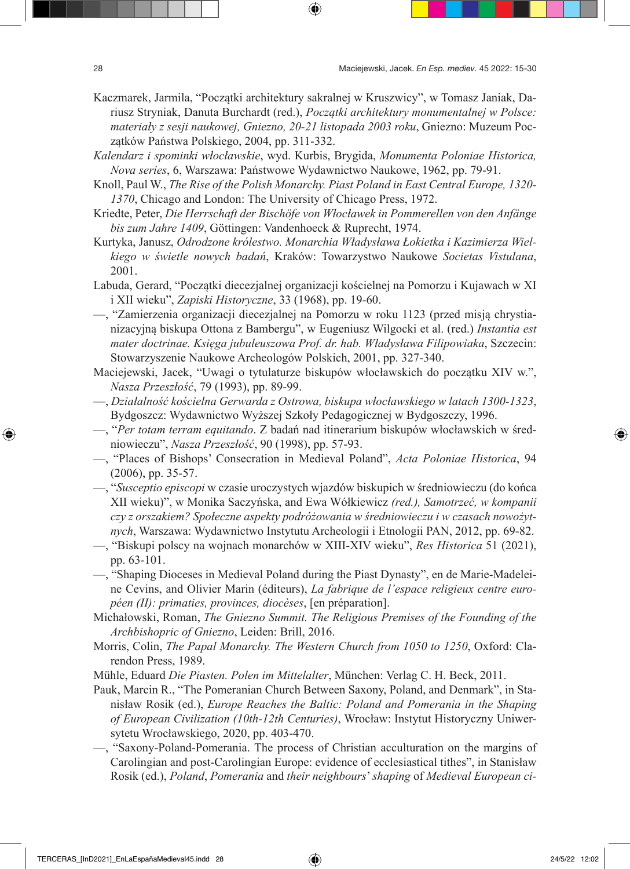- Kaczmarek, Jarmila, "Początki architektury sakralnej w Kruszwicy", w Tomasz Janiak, Dariusz Stryniak, Danuta Burchardt (red.), *Początki architektury monumentalnej w Polsce: materiały z sesji naukowej, Gniezno, 20-21 listopada 2003 roku*, Gniezno: Muzeum Początków Państwa Polskiego, 2004, pp. 311-332.
- *Kalendarz i spominki włocławskie*, wyd. Kurbis, Brygida, *Monumenta Poloniae Historica, Nova series*, 6, Warszawa: Państwowe Wydawnictwo Naukowe, 1962, pp. 79-91.
- Knoll, Paul W., *The Rise of the Polish Monarchy. Piast Poland in East Central Europe, 1320- 1370*, Chicago and London: The University of Chicago Press, 1972.
- Kriedte, Peter, *Die Herrschaft der Bischöfe von Włocławek in Pommerellen von den Anfänge bis zum Jahre 1409*, Göttingen: Vandenhoeck & Ruprecht, 1974.
- Kurtyka, Janusz, *Odrodzone królestwo. Monarchia Władysława Łokietka i Kazimierza Wielkiego w świetle nowych badań*, Kraków: Towarzystwo Naukowe *Societas Vistulana*, 2001.
- Labuda, Gerard, "Początki diecezjalnej organizacji kościelnej na Pomorzu i Kujawach w XI i XII wieku", *Zapiski Historyczne*, 33 (1968), pp. 19-60.
- —, "Zamierzenia organizacji diecezjalnej na Pomorzu w roku 1123 (przed misją chrystianizacyjną biskupa Ottona z Bambergu", w Eugeniusz Wilgocki et al. (red.) *Instantia est mater doctrinae. Księga jubuleuszowa Prof. dr. hab. Władysława Filipowiaka*, Szczecin: Stowarzyszenie Naukowe Archeologów Polskich, 2001, pp. 327-340.
- Maciejewski, Jacek, "Uwagi o tytulaturze biskupów włocławskich do początku XIV w.", *Nasza Przeszłość*, 79 (1993), pp. 89-99.
- —, *Działalność kościelna Gerwarda z Ostrowa, biskupa włocławskiego w latach 1300-1323*, Bydgoszcz: Wydawnictwo Wyższej Szkoły Pedagogicznej w Bydgoszczy, 1996.
- —, "*Per totam terram equitando*. Z badań nad itinerarium biskupów włocławskich w średniowieczu", *Nasza Przeszłość*, 90 (1998), pp. 57-93.
- —, "Places of Bishops' Consecration in Medieval Poland", *Acta Poloniae Historica*, 94 (2006), pp. 35-57.
- —, "*Susceptio episcopi* w czasie uroczystych wjazdów biskupich w średniowieczu (do końca XII wieku)", w Monika Saczyńska, and Ewa Wółkiewicz *(red.), Samotrzeć, w kompanii czy z orszakiem? Społeczne aspekty podróżowania w średniowieczu i w czasach nowożytnych*, Warszawa: Wydawnictwo Instytutu Archeologii i Etnologii PAN, 2012, pp. 69-82.
- —, "Biskupi polscy na wojnach monarchów w XIII-XIV wieku", *Res Historica* 51 (2021), pp. 63-101.
- —, "Shaping Dioceses in Medieval Poland during the Piast Dynasty", en de Marie-Madeleine Cevins, and Olivier Marin (éditeurs), *La fabrique de l'espace religieux centre européen (II): primaties, provinces, diocèses*, [en préparation].
- Michałowski, Roman, *The Gniezno Summit. The Religious Premises of the Founding of the Archbishopric of Gniezno*, Leiden: Brill, 2016.
- Morris, Colin, *The Papal Monarchy. The Western Church from 1050 to 1250*, Oxford: Clarendon Press, 1989.
- Mühle, Eduard *Die Piasten. Polen im Mittelalter*, München: Verlag C. H. Beck, 2011.
- Pauk, Marcin R., "The Pomeranian Church Between Saxony, Poland, and Denmark", in Stanisław Rosik (ed.), *Europe Reaches the Baltic: Poland and Pomerania in the Shaping of European Civilization (10th-12th Centuries)*, Wrocław: Instytut Historyczny Uniwersytetu Wrocławskiego, 2020, pp. 403-470.
- —, "Saxony-Poland-Pomerania. The process of Christian acculturation on the margins of Carolingian and post-Carolingian Europe: evidence of ecclesiastical tithes", in Stanisław Rosik (ed.), *Poland*, *Pomerania* and *their neighbours*' *shaping* of *Medieval European ci-*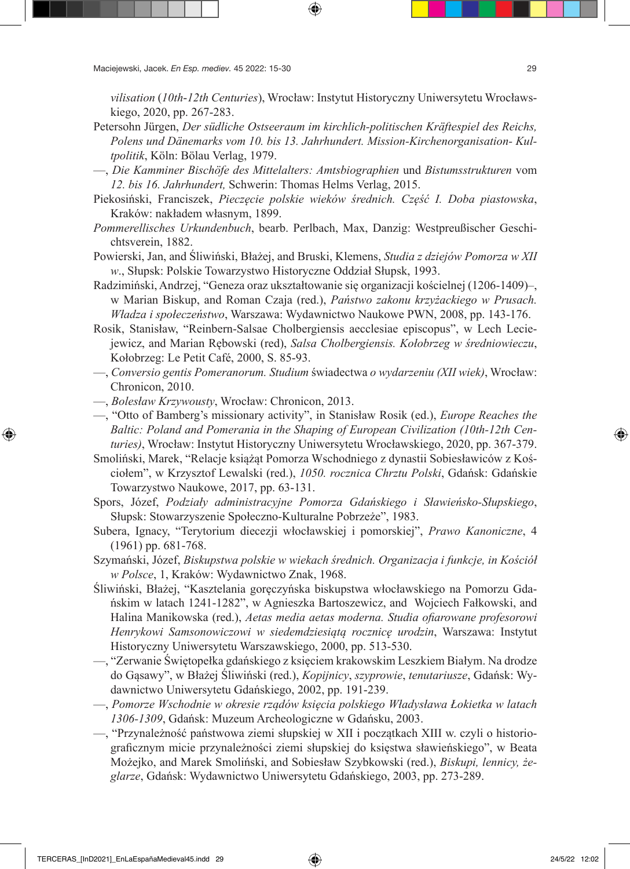*vilisation* (*10th*-*12th Centuries*), Wrocław: Instytut Historyczny Uniwersytetu Wrocławskiego, 2020, pp. 267-283.

- Petersohn Jürgen, *Der südliche Ostseeraum im kirchlich-politischen Kräftespiel des Reichs, Polens und Dänemarks vom 10. bis 13. Jahrhundert. Mission-Kirchenorganisation- Kultpolitik*, Köln: Bölau Verlag, 1979.
- —, *Die Kamminer Bischöfe des Mittelalters: Amtsbiographien* und *Bistumsstrukturen* vom *12. bis 16. Jahrhundert,* Schwerin: Thomas Helms Verlag, 2015.
- Piekosiński, Franciszek, *Pieczęcie polskie wieków średnich. Część I. Doba piastowska*, Kraków: nakładem własnym, 1899.
- *Pommerellisches Urkundenbuch*, bearb. Perlbach, Max, Danzig: Westpreußischer Geschichtsverein, 1882.
- Powierski, Jan, and Śliwiński, Błażej, and Bruski, Klemens, *Studia z dziejów Pomorza w XII w*., Słupsk: Polskie Towarzystwo Historyczne Oddział Słupsk, 1993.
- Radzimiński, Andrzej, "Geneza oraz ukształtowanie się organizacji kościelnej (1206-1409)–, w Marian Biskup, and Roman Czaja (red.), *Państwo zakonu krzyżackiego w Prusach. Władza i społeczeństwo*, Warszawa: Wydawnictwo Naukowe PWN, 2008, pp. 143-176.
- Rosik, Stanisław, "Reinbern-Salsae Cholbergiensis aecclesiae episcopus", w Lech Leciejewicz, and Marian Rębowski (red), *Salsa Cholbergiensis. Kołobrzeg w średniowieczu*, Kołobrzeg: Le Petit Café, 2000, S. 85-93.
- —, *Conversio gentis Pomeranorum. Studium* świadectwa *o wydarzeniu (XII wiek)*, Wrocław: Chronicon, 2010.
- —, *Bolesław Krzywousty*, Wrocław: Chronicon, 2013.
- —, "Otto of Bamberg's missionary activity", in Stanisław Rosik (ed.), *Europe Reaches the Baltic: Poland and Pomerania in the Shaping of European Civilization (10th-12th Centuries)*, Wrocław: Instytut Historyczny Uniwersytetu Wrocławskiego, 2020, pp. 367-379.
- Smoliński, Marek, "Relacje książąt Pomorza Wschodniego z dynastii Sobiesławiców z Kościołem", w Krzysztof Lewalski (red.), *1050. rocznica Chrztu Polski*, Gdańsk: Gdańskie Towarzystwo Naukowe, 2017, pp. 63-131.
- Spors, Józef, *Podziały administracyjne Pomorza Gdańskiego i Sławieńsko-Słupskiego*, Słupsk: Stowarzyszenie Społeczno-Kulturalne Pobrzeże", 1983.
- Subera, Ignacy, "Terytorium diecezji włocławskiej i pomorskiej", *Prawo Kanoniczne*, 4 (1961) pp. 681-768.
- Szymański, Józef, *Biskupstwa polskie w wiekach średnich. Organizacja i funkcje, in Kościół w Polsce*, 1, Kraków: Wydawnictwo Znak, 1968.
- Śliwiński, Błażej, "Kasztelania goręczyńska biskupstwa włocławskiego na Pomorzu Gdańskim w latach 1241-1282", w Agnieszka Bartoszewicz, and Wojciech Fałkowski, and Halina Manikowska (red.), *Aetas media aetas moderna. Studia ofiarowane profesorowi Henrykowi Samsonowiczowi w siedemdziesiątą rocznicę urodzin*, Warszawa: Instytut Historyczny Uniwersytetu Warszawskiego, 2000, pp. 513-530.
- —, "Zerwanie Świętopełka gdańskiego z księciem krakowskim Leszkiem Białym. Na drodze do Gąsawy", w Błażej Śliwiński (red.), *Kopijnicy*, *szyprowie*, *tenutariusze*, Gdańsk: Wydawnictwo Uniwersytetu Gdańskiego, 2002, pp. 191-239.
- —, *Pomorze Wschodnie w okresie rządów księcia polskiego Władysława Łokietka w latach 1306-1309*, Gdańsk: Muzeum Archeologiczne w Gdańsku, 2003.
- —, "Przynależność państwowa ziemi słupskiej w XII i początkach XIII w. czyli o historiograficznym micie przynależności ziemi słupskiej do księstwa sławieńskiego", w Beata Możejko, and Marek Smoliński, and Sobiesław Szybkowski (red.), *Biskupi, lennicy, żeglarze*, Gdańsk: Wydawnictwo Uniwersytetu Gdańskiego, 2003, pp. 273-289.